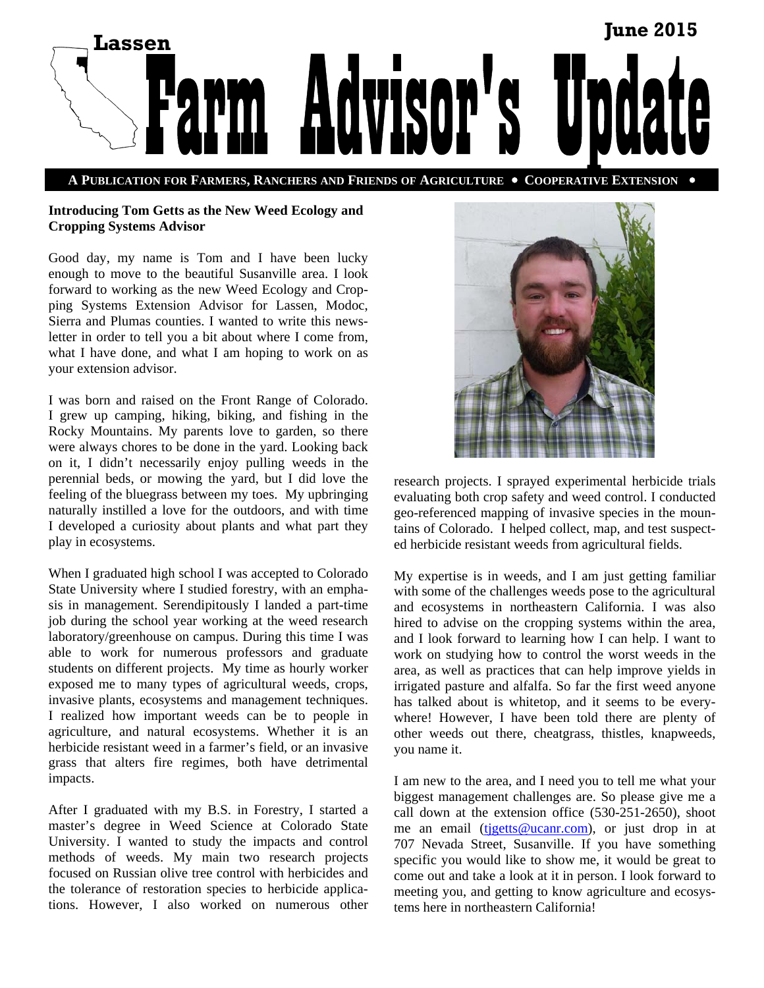

**A PUBLICATION FOR FARMERS, RANCHERS AND FRIENDS OF AGRICULTURE COOPERATIVE EXTENSION** 

## **Introducing Tom Getts as the New Weed Ecology and Cropping Systems Advisor**

Good day, my name is Tom and I have been lucky enough to move to the beautiful Susanville area. I look forward to working as the new Weed Ecology and Cropping Systems Extension Advisor for Lassen, Modoc, Sierra and Plumas counties. I wanted to write this newsletter in order to tell you a bit about where I come from, what I have done, and what I am hoping to work on as your extension advisor.

I was born and raised on the Front Range of Colorado. I grew up camping, hiking, biking, and fishing in the Rocky Mountains. My parents love to garden, so there were always chores to be done in the yard. Looking back on it, I didn't necessarily enjoy pulling weeds in the perennial beds, or mowing the yard, but I did love the feeling of the bluegrass between my toes. My upbringing naturally instilled a love for the outdoors, and with time I developed a curiosity about plants and what part they play in ecosystems.

When I graduated high school I was accepted to Colorado State University where I studied forestry, with an emphasis in management. Serendipitously I landed a part-time job during the school year working at the weed research laboratory/greenhouse on campus. During this time I was able to work for numerous professors and graduate students on different projects. My time as hourly worker exposed me to many types of agricultural weeds, crops, invasive plants, ecosystems and management techniques. I realized how important weeds can be to people in agriculture, and natural ecosystems. Whether it is an herbicide resistant weed in a farmer's field, or an invasive grass that alters fire regimes, both have detrimental impacts.

After I graduated with my B.S. in Forestry, I started a master's degree in Weed Science at Colorado State University. I wanted to study the impacts and control methods of weeds. My main two research projects focused on Russian olive tree control with herbicides and the tolerance of restoration species to herbicide applications. However, I also worked on numerous other



research projects. I sprayed experimental herbicide trials evaluating both crop safety and weed control. I conducted geo-referenced mapping of invasive species in the mountains of Colorado. I helped collect, map, and test suspected herbicide resistant weeds from agricultural fields.

My expertise is in weeds, and I am just getting familiar with some of the challenges weeds pose to the agricultural and ecosystems in northeastern California. I was also hired to advise on the cropping systems within the area, and I look forward to learning how I can help. I want to work on studying how to control the worst weeds in the area, as well as practices that can help improve yields in irrigated pasture and alfalfa. So far the first weed anyone has talked about is whitetop, and it seems to be everywhere! However, I have been told there are plenty of other weeds out there, cheatgrass, thistles, knapweeds, you name it.

I am new to the area, and I need you to tell me what your biggest management challenges are. So please give me a call down at the extension office (530-251-2650), shoot me an email (tigetts@ucanr.com), or just drop in at 707 Nevada Street, Susanville. If you have something specific you would like to show me, it would be great to come out and take a look at it in person. I look forward to meeting you, and getting to know agriculture and ecosystems here in northeastern California!